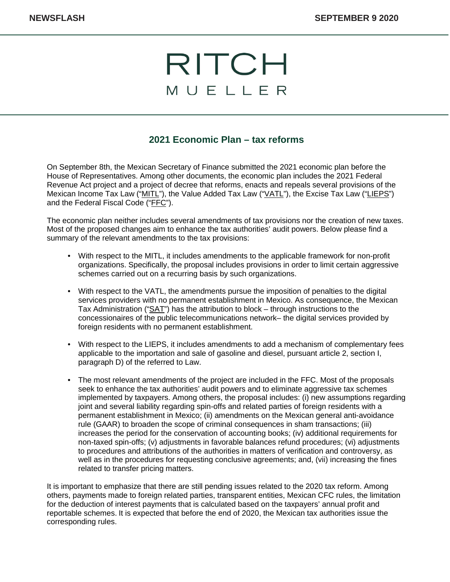## RITCH MUELLER

## **2021 Economic Plan – tax reforms**

On September 8th, the Mexican Secretary of Finance submitted the 2021 economic plan before the House of Representatives. Among other documents, the economic plan includes the 2021 Federal Revenue Act project and a project of decree that reforms, enacts and repeals several provisions of the Mexican Income Tax Law ("MITL"), the Value Added Tax Law ("VATL"), the Excise Tax Law ("LIEPS") and the Federal Fiscal Code ("FFC").

The economic plan neither includes several amendments of tax provisions nor the creation of new taxes. Most of the proposed changes aim to enhance the tax authorities' audit powers. Below please find a summary of the relevant amendments to the tax provisions:

- With respect to the MITL, it includes amendments to the applicable framework for non-profit organizations. Specifically, the proposal includes provisions in order to limit certain aggressive schemes carried out on a recurring basis by such organizations.
- With respect to the VATL, the amendments pursue the imposition of penalties to the digital services providers with no permanent establishment in Mexico. As consequence, the Mexican Tax Administration ("SAT") has the attribution to block – through instructions to the concessionaires of the public telecommunications network– the digital services provided by foreign residents with no permanent establishment.
- With respect to the LIEPS, it includes amendments to add a mechanism of complementary fees applicable to the importation and sale of gasoline and diesel, pursuant article 2, section I, paragraph D) of the referred to Law.
- The most relevant amendments of the project are included in the FFC. Most of the proposals seek to enhance the tax authorities' audit powers and to eliminate aggressive tax schemes implemented by taxpayers. Among others, the proposal includes: (i) new assumptions regarding joint and several liability regarding spin-offs and related parties of foreign residents with a permanent establishment in Mexico; (ii) amendments on the Mexican general anti-avoidance rule (GAAR) to broaden the scope of criminal consequences in sham transactions; (iii) increases the period for the conservation of accounting books; (iv) additional requirements for non-taxed spin-offs; (v) adjustments in favorable balances refund procedures; (vi) adjustments to procedures and attributions of the authorities in matters of verification and controversy, as well as in the procedures for requesting conclusive agreements; and, (vii) increasing the fines related to transfer pricing matters.

It is important to emphasize that there are still pending issues related to the 2020 tax reform. Among others, payments made to foreign related parties, transparent entities, Mexican CFC rules, the limitation for the deduction of interest payments that is calculated based on the taxpayers' annual profit and reportable schemes. It is expected that before the end of 2020, the Mexican tax authorities issue the corresponding rules.